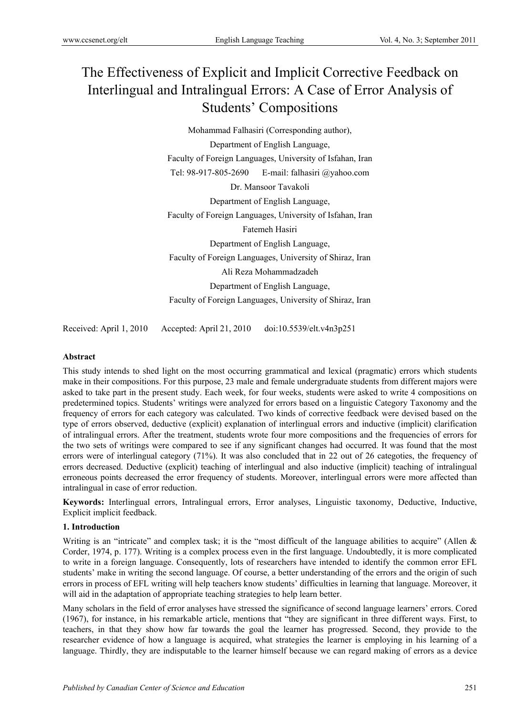# The Effectiveness of Explicit and Implicit Corrective Feedback on Interlingual and Intralingual Errors: A Case of Error Analysis of Students' Compositions

Mohammad Falhasiri (Corresponding author), Department of English Language, Faculty of Foreign Languages, University of Isfahan, Iran Tel: 98-917-805-2690 E-mail: falhasiri @yahoo.com Dr. Mansoor Tavakoli Department of English Language, Faculty of Foreign Languages, University of Isfahan, Iran Fatemeh Hasiri Department of English Language, Faculty of Foreign Languages, University of Shiraz, Iran Ali Reza Mohammadzadeh Department of English Language, Faculty of Foreign Languages, University of Shiraz, Iran

Received: April 1, 2010 Accepted: April 21, 2010 doi:10.5539/elt.v4n3p251

# **Abstract**

This study intends to shed light on the most occurring grammatical and lexical (pragmatic) errors which students make in their compositions. For this purpose, 23 male and female undergraduate students from different majors were asked to take part in the present study. Each week, for four weeks, students were asked to write 4 compositions on predetermined topics. Students' writings were analyzed for errors based on a linguistic Category Taxonomy and the frequency of errors for each category was calculated. Two kinds of corrective feedback were devised based on the type of errors observed, deductive (explicit) explanation of interlingual errors and inductive (implicit) clarification of intralingual errors. After the treatment, students wrote four more compositions and the frequencies of errors for the two sets of writings were compared to see if any significant changes had occurred. It was found that the most errors were of interlingual category (71%). It was also concluded that in 22 out of 26 categoties, the frequency of errors decreased. Deductive (explicit) teaching of interlingual and also inductive (implicit) teaching of intralingual erroneous points decreased the error frequency of students. Moreover, interlingual errors were more affected than intralingual in case of error reduction.

**Keywords:** Interlingual errors, Intralingual errors, Error analyses, Linguistic taxonomy, Deductive, Inductive, Explicit implicit feedback.

## **1. Introduction**

Writing is an "intricate" and complex task; it is the "most difficult of the language abilities to acquire" (Allen & Corder, 1974, p. 177). Writing is a complex process even in the first language. Undoubtedly, it is more complicated to write in a foreign language. Consequently, lots of researchers have intended to identify the common error EFL students' make in writing the second language. Of course, a better understanding of the errors and the origin of such errors in process of EFL writing will help teachers know students' difficulties in learning that language. Moreover, it will aid in the adaptation of appropriate teaching strategies to help learn better.

Many scholars in the field of error analyses have stressed the significance of second language learners' errors. Cored (1967), for instance, in his remarkable article, mentions that "they are significant in three different ways. First, to teachers, in that they show how far towards the goal the learner has progressed. Second, they provide to the researcher evidence of how a language is acquired, what strategies the learner is employing in his learning of a language. Thirdly, they are indisputable to the learner himself because we can regard making of errors as a device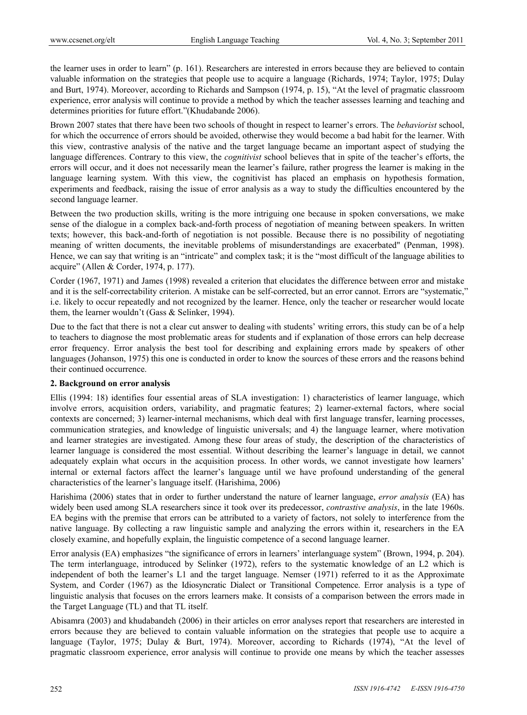the learner uses in order to learn" (p. 161). Researchers are interested in errors because they are believed to contain valuable information on the strategies that people use to acquire a language (Richards, 1974; Taylor, 1975; Dulay and Burt, 1974). Moreover, according to Richards and Sampson (1974, p. 15), "At the level of pragmatic classroom experience, error analysis will continue to provide a method by which the teacher assesses learning and teaching and determines priorities for future effort."(Khudabande 2006).

Brown 2007 states that there have been two schools of thought in respect to learner's errors. The *behaviorist* school, for which the occurrence of errors should be avoided, otherwise they would become a bad habit for the learner. With this view, contrastive analysis of the native and the target language became an important aspect of studying the language differences. Contrary to this view, the *cognitivist* school believes that in spite of the teacher's efforts, the errors will occur, and it does not necessarily mean the learner's failure, rather progress the learner is making in the language learning system. With this view, the cognitivist has placed an emphasis on hypothesis formation, experiments and feedback, raising the issue of error analysis as a way to study the difficulties encountered by the second language learner.

Between the two production skills, writing is the more intriguing one because in spoken conversations, we make sense of the dialogue in a complex back-and-forth process of negotiation of meaning between speakers. In written texts; however, this back-and-forth of negotiation is not possible. Because there is no possibility of negotiating meaning of written documents, the inevitable problems of misunderstandings are exacerbated" (Penman, 1998). Hence, we can say that writing is an "intricate" and complex task; it is the "most difficult of the language abilities to acquire" (Allen & Corder, 1974, p. 177).

Corder (1967, 1971) and James (1998) revealed a criterion that elucidates the difference between error and mistake and it is the self-correctability criterion. A mistake can be self-corrected, but an error cannot. Errors are "systematic," i.e. likely to occur repeatedly and not recognized by the learner. Hence, only the teacher or researcher would locate them, the learner wouldn't (Gass & Selinker, 1994).

Due to the fact that there is not a clear cut answer to dealing with students' writing errors, this study can be of a help to teachers to diagnose the most problematic areas for students and if explanation of those errors can help decrease error frequency. Error analysis the best tool for describing and explaining errors made by speakers of other languages (Johanson, 1975) this one is conducted in order to know the sources of these errors and the reasons behind their continued occurrence.

#### **2. Background on error analysis**

Ellis (1994: 18) identifies four essential areas of SLA investigation: 1) characteristics of learner language, which involve errors, acquisition orders, variability, and pragmatic features; 2) learner-external factors, where social contexts are concerned; 3) learner-internal mechanisms, which deal with first language transfer, learning processes, communication strategies, and knowledge of linguistic universals; and 4) the language learner, where motivation and learner strategies are investigated. Among these four areas of study, the description of the characteristics of learner language is considered the most essential. Without describing the learner's language in detail, we cannot adequately explain what occurs in the acquisition process. In other words, we cannot investigate how learners' internal or external factors affect the learner's language until we have profound understanding of the general characteristics of the learner's language itself. (Harishima, 2006)

Harishima (2006) states that in order to further understand the nature of learner language, *error analysis* (EA) has widely been used among SLA researchers since it took over its predecessor, *contrastive analysis*, in the late 1960s. EA begins with the premise that errors can be attributed to a variety of factors, not solely to interference from the native language. By collecting a raw linguistic sample and analyzing the errors within it, researchers in the EA closely examine, and hopefully explain, the linguistic competence of a second language learner.

Error analysis (EA) emphasizes "the significance of errors in learners' interlanguage system" (Brown, 1994, p. 204). The term interlanguage, introduced by Selinker (1972), refers to the systematic knowledge of an L2 which is independent of both the learner's L1 and the target language. Nemser (1971) referred to it as the Approximate System, and Corder (1967) as the Idiosyncratic Dialect or Transitional Competence. Error analysis is a type of linguistic analysis that focuses on the errors learners make. It consists of a comparison between the errors made in the Target Language (TL) and that TL itself.

Abisamra (2003) and khudabandeh (2006) in their articles on error analyses report that researchers are interested in errors because they are believed to contain valuable information on the strategies that people use to acquire a language (Taylor, 1975; Dulay & Burt, 1974). Moreover, according to Richards (1974), "At the level of pragmatic classroom experience, error analysis will continue to provide one means by which the teacher assesses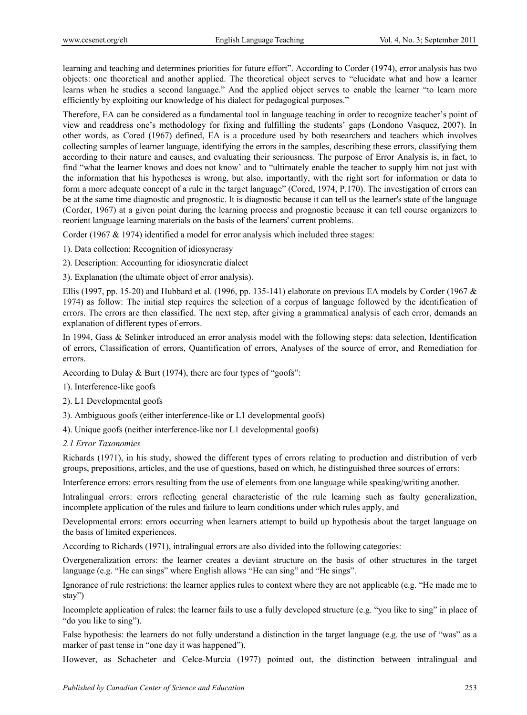learning and teaching and determines priorities for future effort". According to Corder (1974), error analysis has two objects: one theoretical and another applied. The theoretical object serves to "elucidate what and how a learner learns when he studies a second language." And the applied object serves to enable the learner "to learn more efficiently by exploiting our knowledge of his dialect for pedagogical purposes."

Therefore, EA can be considered as a fundamental tool in language teaching in order to recognize teacher's point of view and readdress one's methodology for fixing and fulfilling the students' gaps (Londono Vasquez, 2007). In other words, as Cored (1967) defined, EA is a procedure used by both researchers and teachers which involves collecting samples of learner language, identifying the errors in the samples, describing these errors, classifying them according to their nature and causes, and evaluating their seriousness. The purpose of Error Analysis is, in fact, to find "what the learner knows and does not know' and to "ultimately enable the teacher to supply him not just with the information that his hypotheses is wrong, but also, importantly, with the right sort for information or data to form a more adequate concept of a rule in the target language" (Cored, 1974, P.170). The investigation of errors can be at the same time diagnostic and prognostic. It is diagnostic because it can tell us the learner's state of the language (Corder, 1967) at a given point during the learning process and prognostic because it can tell course organizers to reorient language learning materials on the basis of the learners' current problems.

Corder (1967 & 1974) identified a model for error analysis which included three stages:

1). Data collection: Recognition of idiosyncrasy

2). Description: Accounting for idiosyncratic dialect

3). Explanation (the ultimate object of error analysis).

Ellis (1997, pp. 15-20) and Hubbard et al*.* (1996, pp. 135-141) elaborate on previous EA models by Corder (1967 & 1974) as follow: The initial step requires the selection of a corpus of language followed by the identification of errors. The errors are then classified. The next step, after giving a grammatical analysis of each error, demands an explanation of different types of errors.

In 1994, Gass & Selinker introduced an error analysis model with the following steps: data selection, Identification of errors, Classification of errors, Quantification of errors, Analyses of the source of error, and Remediation for errors.

According to Dulay & Burt (1974), there are four types of "goofs":

- 1). Interference-like goofs
- 2). L1 Developmental goofs
- 3). Ambiguous goofs (either interference-like or L1 developmental goofs)
- 4). Unique goofs (neither interference-like nor L1 developmental goofs)
- *2.1 Error Taxonomies*

Richards (1971), in his study, showed the different types of errors relating to production and distribution of verb groups, prepositions, articles, and the use of questions, based on which, he distinguished three sources of errors:

Interference errors: errors resulting from the use of elements from one language while speaking/writing another.

Intralingual errors: errors reflecting general characteristic of the rule learning such as faulty generalization, incomplete application of the rules and failure to learn conditions under which rules apply, and

Developmental errors: errors occurring when learners attempt to build up hypothesis about the target language on the basis of limited experiences.

According to Richards (1971), intralingual errors are also divided into the following categories:

Overgeneralization errors: the learner creates a deviant structure on the basis of other structures in the target language (e.g. "He can sings" where English allows "He can sing" and "He sings".

Ignorance of rule restrictions: the learner applies rules to context where they are not applicable (e.g. "He made me to stay")

Incomplete application of rules: the learner fails to use a fully developed structure (e.g. "you like to sing" in place of "do you like to sing").

False hypothesis: the learners do not fully understand a distinction in the target language (e.g. the use of "was" as a marker of past tense in "one day it was happened").

However, as Schacheter and Celce-Murcia (1977) pointed out, the distinction between intralingual and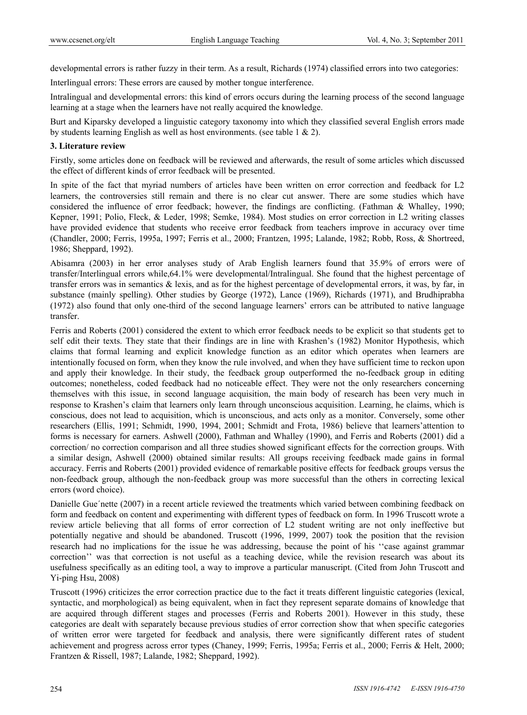developmental errors is rather fuzzy in their term. As a result, Richards (1974) classified errors into two categories:

Interlingual errors: These errors are caused by mother tongue interference.

Intralingual and developmental errors: this kind of errors occurs during the learning process of the second language learning at a stage when the learners have not really acquired the knowledge.

Burt and Kiparsky developed a linguistic category taxonomy into which they classified several English errors made by students learning English as well as host environments. (see table 1 & 2).

#### **3. Literature review**

Firstly, some articles done on feedback will be reviewed and afterwards, the result of some articles which discussed the effect of different kinds of error feedback will be presented.

In spite of the fact that myriad numbers of articles have been written on error correction and feedback for L2 learners, the controversies still remain and there is no clear cut answer. There are some studies which have considered the influence of error feedback; however, the findings are conflicting. (Fathman & Whalley, 1990; Kepner, 1991; Polio, Fleck, & Leder, 1998; Semke, 1984). Most studies on error correction in L2 writing classes have provided evidence that students who receive error feedback from teachers improve in accuracy over time (Chandler, 2000; Ferris, 1995a, 1997; Ferris et al., 2000; Frantzen, 1995; Lalande, 1982; Robb, Ross, & Shortreed, 1986; Sheppard, 1992).

Abisamra (2003) in her error analyses study of Arab English learners found that 35.9% of errors were of transfer/Interlingual errors while,64.1% were developmental/Intralingual. She found that the highest percentage of transfer errors was in semantics & lexis, and as for the highest percentage of developmental errors, it was, by far, in substance (mainly spelling). Other studies by George (1972), Lance (1969), Richards (1971), and Brudhiprabha (1972) also found that only one-third of the second language learners' errors can be attributed to native language transfer.

Ferris and Roberts (2001) considered the extent to which error feedback needs to be explicit so that students get to self edit their texts. They state that their findings are in line with Krashen's (1982) Monitor Hypothesis, which claims that formal learning and explicit knowledge function as an editor which operates when learners are intentionally focused on form, when they know the rule involved, and when they have sufficient time to reckon upon and apply their knowledge. In their study, the feedback group outperformed the no-feedback group in editing outcomes; nonetheless, coded feedback had no noticeable effect. They were not the only researchers concerning themselves with this issue, in second language acquisition, the main body of research has been very much in response to Krashen's claim that learners only learn through unconscious acquisition. Learning, he claims, which is conscious, does not lead to acquisition, which is unconscious, and acts only as a monitor. Conversely, some other researchers (Ellis, 1991; Schmidt, 1990, 1994, 2001; Schmidt and Frota, 1986) believe that learners'attention to forms is necessary for earners. Ashwell (2000), Fathman and Whalley (1990), and Ferris and Roberts (2001) did a correction/ no correction comparison and all three studies showed significant effects for the correction groups. With a similar design, Ashwell (2000) obtained similar results: All groups receiving feedback made gains in formal accuracy. Ferris and Roberts (2001) provided evidence of remarkable positive effects for feedback groups versus the non-feedback group, although the non-feedback group was more successful than the others in correcting lexical errors (word choice).

Danielle Gue'nette (2007) in a recent article reviewed the treatments which varied between combining feedback on form and feedback on content and experimenting with different types of feedback on form. In 1996 Truscott wrote a review article believing that all forms of error correction of L2 student writing are not only ineffective but potentially negative and should be abandoned. Truscott (1996, 1999, 2007) took the position that the revision research had no implications for the issue he was addressing, because the point of his ''case against grammar correction'' was that correction is not useful as a teaching device, while the revision research was about its usefulness specifically as an editing tool, a way to improve a particular manuscript. (Cited from John Truscott and Yi-ping Hsu, 2008)

Truscott (1996) criticizes the error correction practice due to the fact it treats different linguistic categories (lexical, syntactic, and morphological) as being equivalent, when in fact they represent separate domains of knowledge that are acquired through different stages and processes (Ferris and Roberts 2001). However in this study, these categories are dealt with separately because previous studies of error correction show that when specific categories of written error were targeted for feedback and analysis, there were significantly different rates of student achievement and progress across error types (Chaney, 1999; Ferris, 1995a; Ferris et al., 2000; Ferris & Helt, 2000; Frantzen & Rissell, 1987; Lalande, 1982; Sheppard, 1992).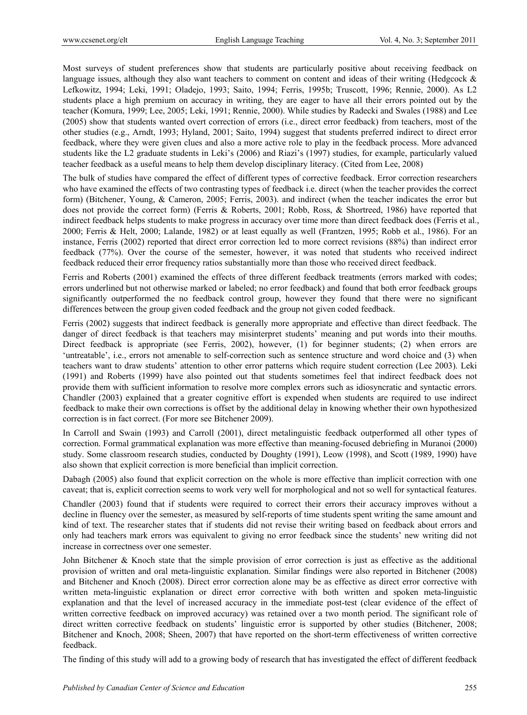Most surveys of student preferences show that students are particularly positive about receiving feedback on language issues, although they also want teachers to comment on content and ideas of their writing (Hedgcock & Lefkowitz, 1994; Leki, 1991; Oladejo, 1993; Saito, 1994; Ferris, 1995b; Truscott, 1996; Rennie, 2000). As L2 students place a high premium on accuracy in writing, they are eager to have all their errors pointed out by the teacher (Komura, 1999; Lee, 2005; Leki, 1991; Rennie, 2000). While studies by Radecki and Swales (1988) and Lee (2005) show that students wanted overt correction of errors (i.e., direct error feedback) from teachers, most of the other studies (e.g., Arndt, 1993; Hyland, 2001; Saito, 1994) suggest that students preferred indirect to direct error feedback, where they were given clues and also a more active role to play in the feedback process. More advanced students like the L2 graduate students in Leki's (2006) and Riazi's (1997) studies, for example, particularly valued teacher feedback as a useful means to help them develop disciplinary literacy. (Cited from Lee, 2008)

The bulk of studies have compared the effect of different types of corrective feedback. Error correction researchers who have examined the effects of two contrasting types of feedback i.e. direct (when the teacher provides the correct form) (Bitchener, Young, & Cameron, 2005; Ferris, 2003). and indirect (when the teacher indicates the error but does not provide the correct form) (Ferris & Roberts, 2001; Robb, Ross, & Shortreed, 1986) have reported that indirect feedback helps students to make progress in accuracy over time more than direct feedback does (Ferris et al., 2000; Ferris & Helt, 2000; Lalande, 1982) or at least equally as well (Frantzen, 1995; Robb et al., 1986). For an instance, Ferris (2002) reported that direct error correction led to more correct revisions (88%) than indirect error feedback (77%). Over the course of the semester, however, it was noted that students who received indirect feedback reduced their error frequency ratios substantially more than those who received direct feedback.

Ferris and Roberts (2001) examined the effects of three different feedback treatments (errors marked with codes; errors underlined but not otherwise marked or labeled; no error feedback) and found that both error feedback groups significantly outperformed the no feedback control group, however they found that there were no significant differences between the group given coded feedback and the group not given coded feedback.

Ferris (2002) suggests that indirect feedback is generally more appropriate and effective than direct feedback. The danger of direct feedback is that teachers may misinterpret students' meaning and put words into their mouths. Direct feedback is appropriate (see Ferris, 2002), however, (1) for beginner students; (2) when errors are 'untreatable', i.e., errors not amenable to self-correction such as sentence structure and word choice and (3) when teachers want to draw students' attention to other error patterns which require student correction (Lee 2003). Leki (1991) and Roberts (1999) have also pointed out that students sometimes feel that indirect feedback does not provide them with sufficient information to resolve more complex errors such as idiosyncratic and syntactic errors. Chandler (2003) explained that a greater cognitive effort is expended when students are required to use indirect feedback to make their own corrections is offset by the additional delay in knowing whether their own hypothesized correction is in fact correct. (For more see Bitchener 2009).

In Carroll and Swain (1993) and Carroll (2001), direct metalinguistic feedback outperformed all other types of correction. Formal grammatical explanation was more effective than meaning-focused debriefing in Muranoi (2000) study. Some classroom research studies, conducted by Doughty (1991), Leow (1998), and Scott (1989, 1990) have also shown that explicit correction is more beneficial than implicit correction.

Dabagh (2005) also found that explicit correction on the whole is more effective than implicit correction with one caveat; that is, explicit correction seems to work very well for morphological and not so well for syntactical features.

Chandler (2003) found that if students were required to correct their errors their accuracy improves without a decline in fluency over the semester, as measured by self-reports of time students spent writing the same amount and kind of text. The researcher states that if students did not revise their writing based on feedback about errors and only had teachers mark errors was equivalent to giving no error feedback since the students' new writing did not increase in correctness over one semester.

John Bitchener & Knoch state that the simple provision of error correction is just as effective as the additional provision of written and oral meta-linguistic explanation. Similar findings were also reported in Bitchener (2008) and Bitchener and Knoch (2008). Direct error correction alone may be as effective as direct error corrective with written meta-linguistic explanation or direct error corrective with both written and spoken meta-linguistic explanation and that the level of increased accuracy in the immediate post-test (clear evidence of the effect of written corrective feedback on improved accuracy) was retained over a two month period. The significant role of direct written corrective feedback on students' linguistic error is supported by other studies (Bitchener, 2008; Bitchener and Knoch, 2008; Sheen, 2007) that have reported on the short-term effectiveness of written corrective feedback.

The finding of this study will add to a growing body of research that has investigated the effect of different feedback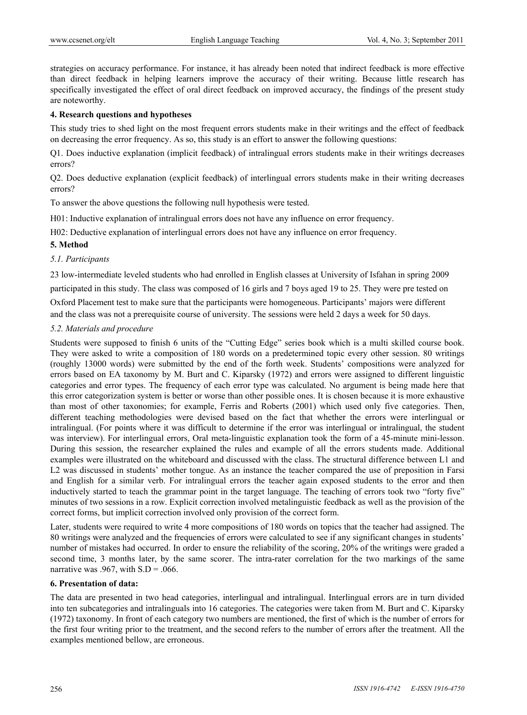strategies on accuracy performance. For instance, it has already been noted that indirect feedback is more effective than direct feedback in helping learners improve the accuracy of their writing. Because little research has specifically investigated the effect of oral direct feedback on improved accuracy, the findings of the present study are noteworthy.

#### **4. Research questions and hypotheses**

This study tries to shed light on the most frequent errors students make in their writings and the effect of feedback on decreasing the error frequency. As so, this study is an effort to answer the following questions:

Q1. Does inductive explanation (implicit feedback) of intralingual errors students make in their writings decreases errors?

Q2. Does deductive explanation (explicit feedback) of interlingual errors students make in their writing decreases errors?

To answer the above questions the following null hypothesis were tested.

H01: Inductive explanation of intralingual errors does not have any influence on error frequency.

H02: Deductive explanation of interlingual errors does not have any influence on error frequency.

## **5. Method**

#### *5.1. Participants*

23 low-intermediate leveled students who had enrolled in English classes at University of Isfahan in spring 2009 participated in this study. The class was composed of 16 girls and 7 boys aged 19 to 25. They were pre tested on Oxford Placement test to make sure that the participants were homogeneous. Participants' majors were different and the class was not a prerequisite course of university. The sessions were held 2 days a week for 50 days.

#### *5.2. Materials and procedure*

Students were supposed to finish 6 units of the "Cutting Edge" series book which is a multi skilled course book. They were asked to write a composition of 180 words on a predetermined topic every other session. 80 writings (roughly 13000 words) were submitted by the end of the forth week. Students' compositions were analyzed for errors based on EA taxonomy by M. Burt and C. Kiparsky (1972) and errors were assigned to different linguistic categories and error types. The frequency of each error type was calculated. No argument is being made here that this error categorization system is better or worse than other possible ones. It is chosen because it is more exhaustive than most of other taxonomies; for example, Ferris and Roberts (2001) which used only five categories. Then, different teaching methodologies were devised based on the fact that whether the errors were interlingual or intralingual. (For points where it was difficult to determine if the error was interlingual or intralingual, the student was interview). For interlingual errors, Oral meta-linguistic explanation took the form of a 45-minute mini-lesson. During this session, the researcher explained the rules and example of all the errors students made. Additional examples were illustrated on the whiteboard and discussed with the class. The structural difference between L1 and L2 was discussed in students' mother tongue. As an instance the teacher compared the use of preposition in Farsi and English for a similar verb. For intralingual errors the teacher again exposed students to the error and then inductively started to teach the grammar point in the target language. The teaching of errors took two "forty five" minutes of two sessions in a row. Explicit correction involved metalinguistic feedback as well as the provision of the correct forms, but implicit correction involved only provision of the correct form.

Later, students were required to write 4 more compositions of 180 words on topics that the teacher had assigned. The 80 writings were analyzed and the frequencies of errors were calculated to see if any significant changes in students' number of mistakes had occurred. In order to ensure the reliability of the scoring, 20% of the writings were graded a second time, 3 months later, by the same scorer. The intra-rater correlation for the two markings of the same narrative was .967, with  $S.D = .066$ .

#### **6. Presentation of data:**

The data are presented in two head categories, interlingual and intralingual. Interlingual errors are in turn divided into ten subcategories and intralinguals into 16 categories. The categories were taken from M. Burt and C. Kiparsky (1972) taxonomy. In front of each category two numbers are mentioned, the first of which is the number of errors for the first four writing prior to the treatment, and the second refers to the number of errors after the treatment. All the examples mentioned bellow, are erroneous.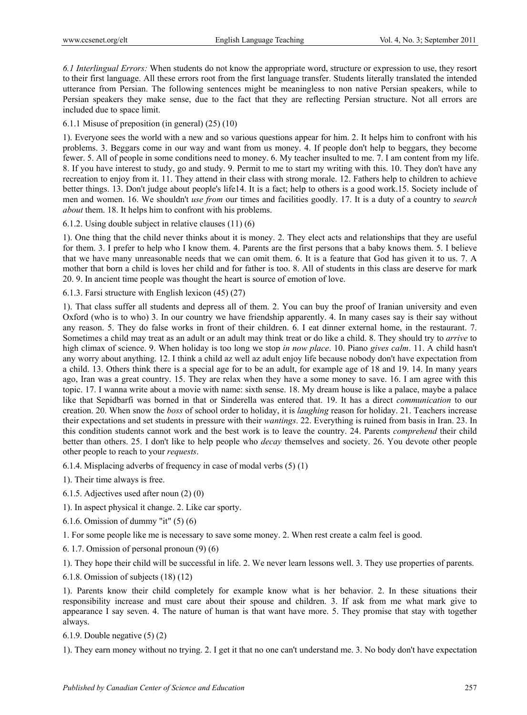*6.1 Interlingual Errors:* When students do not know the appropriate word, structure or expression to use, they resort to their first language. All these errors root from the first language transfer. Students literally translated the intended utterance from Persian. The following sentences might be meaningless to non native Persian speakers, while to Persian speakers they make sense, due to the fact that they are reflecting Persian structure. Not all errors are included due to space limit.

6.1.1 Misuse of preposition (in general) (25) (10)

1). Everyone sees the world with a new and so various questions appear for him. 2. It helps him to confront with his problems. 3. Beggars come in our way and want from us money. 4. If people don't help to beggars, they become fewer. 5. All of people in some conditions need to money. 6. My teacher insulted to me. 7. I am content from my life. 8. If you have interest to study, go and study. 9. Permit to me to start my writing with this. 10. They don't have any recreation to enjoy from it. 11. They attend in their class with strong morale. 12. Fathers help to children to achieve better things. 13. Don't judge about people's life14. It is a fact; help to others is a good work.15. Society include of men and women. 16. We shouldn't *use from* our times and facilities goodly. 17. It is a duty of a country to *search about* them. 18. It helps him to confront with his problems.

6.1.2. Using double subject in relative clauses (11) (6)

1). One thing that the child never thinks about it is money. 2. They elect acts and relationships that they are useful for them. 3. I prefer to help who I know them. 4. Parents are the first persons that a baby knows them. 5. I believe that we have many unreasonable needs that we can omit them. 6. It is a feature that God has given it to us. 7. A mother that born a child is loves her child and for father is too. 8. All of students in this class are deserve for mark 20. 9. In ancient time people was thought the heart is source of emotion of love.

6.1.3. Farsi structure with English lexicon (45) (27)

1). That class suffer all students and depress all of them. 2. You can buy the proof of Iranian university and even Oxford (who is to who) 3. In our country we have friendship apparently. 4. In many cases say is their say without any reason. 5. They do false works in front of their children. 6. I eat dinner external home, in the restaurant. 7. Sometimes a child may treat as an adult or an adult may think treat or do like a child. 8. They should try to *arrive* to high climax of science. 9. When holiday is too long we stop *in now place*. 10. Piano *gives calm*. 11. A child hasn't any worry about anything. 12. I think a child az well az adult enjoy life because nobody don't have expectation from a child. 13. Others think there is a special age for to be an adult, for example age of 18 and 19. 14. In many years ago, Iran was a great country. 15. They are relax when they have a some money to save. 16. I am agree with this topic. 17. I wanna write about a movie with name: sixth sense. 18. My dream house is like a palace, maybe a palace like that Sepidbarfi was borned in that or Sinderella was entered that. 19. It has a direct *communication* to our creation. 20. When snow the *boss* of school order to holiday, it is *laughing* reason for holiday. 21. Teachers increase their expectations and set students in pressure with their *wantings*. 22. Everything is ruined from basis in Iran. 23. In this condition students cannot work and the best work is to leave the country. 24. Parents *comprehend* their child better than others. 25. I don't like to help people who *decay* themselves and society. 26. You devote other people other people to reach to your *requests*.

6.1.4. Misplacing adverbs of frequency in case of modal verbs (5) (1)

- 1). Their time always is free.
- 6.1.5. Adjectives used after noun (2) (0)
- 1). In aspect physical it change. 2. Like car sporty.
- 6.1.6. Omission of dummy "it" (5) (6)

1. For some people like me is necessary to save some money. 2. When rest create a calm feel is good.

6. 1.7. Omission of personal pronoun (9) (6)

1). They hope their child will be successful in life. 2. We never learn lessons well. 3. They use properties of parents.

6.1.8. Omission of subjects (18) (12)

1). Parents know their child completely for example know what is her behavior. 2. In these situations their responsibility increase and must care about their spouse and children. 3. If ask from me what mark give to appearance I say seven. 4. The nature of human is that want have more. 5. They promise that stay with together always.

6.1.9. Double negative (5) (2)

1). They earn money without no trying. 2. I get it that no one can't understand me. 3. No body don't have expectation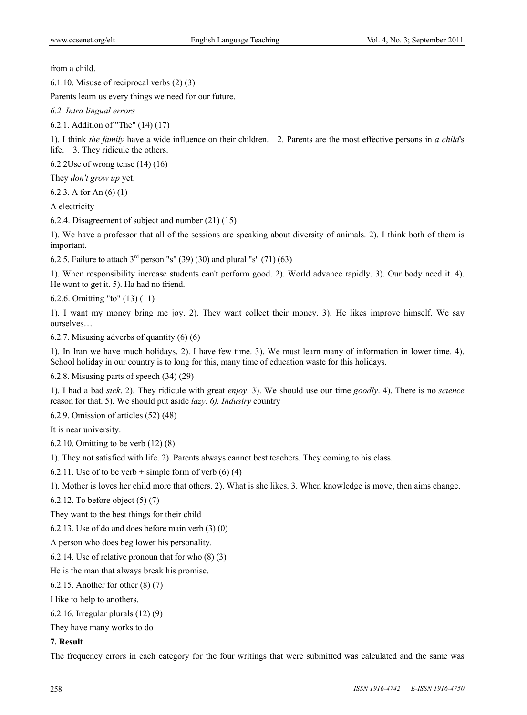from a child.

6.1.10. Misuse of reciprocal verbs (2) (3)

Parents learn us every things we need for our future.

*6.2. Intra lingual errors* 

6.2.1. Addition of "The" (14) (17)

1). I think *the family* have a wide influence on their children. 2. Parents are the most effective persons in *a child*'s life. 3. They ridicule the others.

6.2.2Use of wrong tense (14) (16)

They *don't grow up* yet.

6.2.3. A for An (6) (1)

A electricity

6.2.4. Disagreement of subject and number (21) (15)

1). We have a professor that all of the sessions are speaking about diversity of animals. 2). I think both of them is important.

6.2.5. Failure to attach  $3^{rd}$  person "s" (39) (30) and plural "s" (71) (63)

1). When responsibility increase students can't perform good. 2). World advance rapidly. 3). Our body need it. 4). He want to get it. 5). Ha had no friend.

6.2.6. Omitting "to" (13) (11)

1). I want my money bring me joy. 2). They want collect their money. 3). He likes improve himself. We say ourselves…

6.2.7. Misusing adverbs of quantity (6) (6)

1). In Iran we have much holidays. 2). I have few time. 3). We must learn many of information in lower time. 4). School holiday in our country is to long for this, many time of education waste for this holidays.

6.2.8. Misusing parts of speech (34) (29)

1). I had a bad *sick*. 2). They ridicule with great *enjoy*. 3). We should use our time *goodly*. 4). There is no *science*  reason for that. 5). We should put aside *lazy. 6). Industry* country

6.2.9. Omission of articles (52) (48)

It is near university.

6.2.10. Omitting to be verb (12) (8)

1). They not satisfied with life. 2). Parents always cannot best teachers. They coming to his class.

6.2.11. Use of to be verb  $+$  simple form of verb (6) (4)

1). Mother is loves her child more that others. 2). What is she likes. 3. When knowledge is move, then aims change.

6.2.12. To before object (5) (7)

They want to the best things for their child

6.2.13. Use of do and does before main verb (3) (0)

A person who does beg lower his personality.

6.2.14. Use of relative pronoun that for who (8) (3)

He is the man that always break his promise.

6.2.15. Another for other (8) (7)

I like to help to anothers.

6.2.16. Irregular plurals (12) (9)

They have many works to do

## **7. Result**

The frequency errors in each category for the four writings that were submitted was calculated and the same was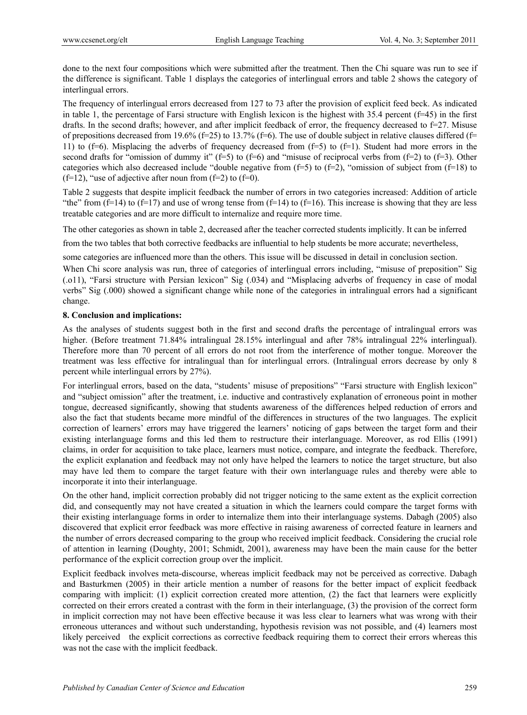done to the next four compositions which were submitted after the treatment. Then the Chi square was run to see if the difference is significant. Table 1 displays the categories of interlingual errors and table 2 shows the category of interlingual errors.

The frequency of interlingual errors decreased from 127 to 73 after the provision of explicit feed beck. As indicated in table 1, the percentage of Farsi structure with English lexicon is the highest with 35.4 percent  $(f=45)$  in the first drafts. In the second drafts; however, and after implicit feedback of error, the frequency decreased to  $f=27$ . Misuse of prepositions decreased from 19.6% (f=25) to 13.7% (f=6). The use of double subject in relative clauses differed (f= 11) to ( $f=6$ ). Misplacing the adverbs of frequency decreased from ( $f=5$ ) to ( $f=1$ ). Student had more errors in the second drafts for "omission of dummy it" (f=5) to (f=6) and "misuse of reciprocal verbs from (f=2) to (f=3). Other categories which also decreased include "double negative from  $(f=5)$  to  $(f=2)$ , "omission of subject from  $(f=18)$  to (f=12), "use of adjective after noun from (f=2) to (f=0).

Table 2 suggests that despite implicit feedback the number of errors in two categories increased: Addition of article "the" from (f=14) to (f=17) and use of wrong tense from (f=14) to (f=16). This increase is showing that they are less treatable categories and are more difficult to internalize and require more time.

The other categories as shown in table 2, decreased after the teacher corrected students implicitly. It can be inferred

from the two tables that both corrective feedbacks are influential to help students be more accurate; nevertheless,

some categories are influenced more than the others. This issue will be discussed in detail in conclusion section.

When Chi score analysis was run, three of categories of interlingual errors including, "misuse of preposition" Sig (.o11), "Farsi structure with Persian lexicon" Sig (.034) and "Misplacing adverbs of frequency in case of modal verbs" Sig (.000) showed a significant change while none of the categories in intralingual errors had a significant change.

### **8. Conclusion and implications:**

As the analyses of students suggest both in the first and second drafts the percentage of intralingual errors was higher. (Before treatment 71.84% intralingual 28.15% interlingual and after 78% intralingual 22% interlingual). Therefore more than 70 percent of all errors do not root from the interference of mother tongue. Moreover the treatment was less effective for intralingual than for interlingual errors. (Intralingual errors decrease by only 8 percent while interlingual errors by 27%).

For interlingual errors, based on the data, "students' misuse of prepositions" "Farsi structure with English lexicon" and "subject omission" after the treatment, i.e. inductive and contrastively explanation of erroneous point in mother tongue, decreased significantly, showing that students awareness of the differences helped reduction of errors and also the fact that students became more mindful of the differences in structures of the two languages. The explicit correction of learners' errors may have triggered the learners' noticing of gaps between the target form and their existing interlanguage forms and this led them to restructure their interlanguage. Moreover, as rod Ellis (1991) claims, in order for acquisition to take place, learners must notice, compare, and integrate the feedback. Therefore, the explicit explanation and feedback may not only have helped the learners to notice the target structure, but also may have led them to compare the target feature with their own interlanguage rules and thereby were able to incorporate it into their interlanguage.

On the other hand, implicit correction probably did not trigger noticing to the same extent as the explicit correction did, and consequently may not have created a situation in which the learners could compare the target forms with their existing interlanguage forms in order to internalize them into their interlanguage systems. Dabagh (2005) also discovered that explicit error feedback was more effective in raising awareness of corrected feature in learners and the number of errors decreased comparing to the group who received implicit feedback. Considering the crucial role of attention in learning (Doughty, 2001; Schmidt, 2001), awareness may have been the main cause for the better performance of the explicit correction group over the implicit.

Explicit feedback involves meta-discourse, whereas implicit feedback may not be perceived as corrective. Dabagh and Basturkmen (2005) in their article mention a number of reasons for the better impact of explicit feedback comparing with implicit: (1) explicit correction created more attention, (2) the fact that learners were explicitly corrected on their errors created a contrast with the form in their interlanguage, (3) the provision of the correct form in implicit correction may not have been effective because it was less clear to learners what was wrong with their erroneous utterances and without such understanding, hypothesis revision was not possible, and (4) learners most likely perceived the explicit corrections as corrective feedback requiring them to correct their errors whereas this was not the case with the implicit feedback.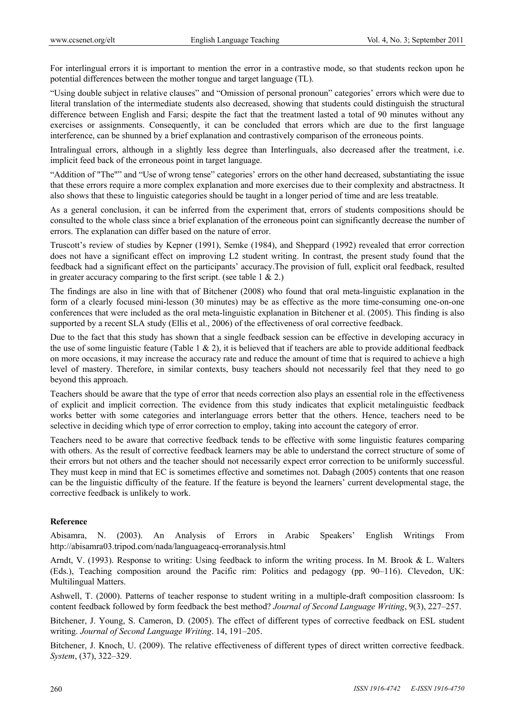For interlingual errors it is important to mention the error in a contrastive mode, so that students reckon upon he potential differences between the mother tongue and target language (TL).

"Using double subject in relative clauses" and "Omission of personal pronoun" categories' errors which were due to literal translation of the intermediate students also decreased, showing that students could distinguish the structural difference between English and Farsi; despite the fact that the treatment lasted a total of 90 minutes without any exercises or assignments. Consequently, it can be concluded that errors which are due to the first language interference, can be shunned by a brief explanation and contrastively comparison of the erroneous points.

Intralingual errors, although in a slightly less degree than Interlinguals, also decreased after the treatment, i.e. implicit feed back of the erroneous point in target language.

"Addition of "The"" and "Use of wrong tense" categories' errors on the other hand decreased, substantiating the issue that these errors require a more complex explanation and more exercises due to their complexity and abstractness. It also shows that these to linguistic categories should be taught in a longer period of time and are less treatable.

As a general conclusion, it can be inferred from the experiment that, errors of students compositions should be consulted to the whole class since a brief explanation of the erroneous point can significantly decrease the number of errors. The explanation can differ based on the nature of error.

Truscott's review of studies by Kepner (1991), Semke (1984), and Sheppard (1992) revealed that error correction does not have a significant effect on improving L2 student writing. In contrast, the present study found that the feedback had a significant effect on the participants' accuracy.The provision of full, explicit oral feedback, resulted in greater accuracy comparing to the first script. (see table  $1 \& 2$ .)

The findings are also in line with that of Bitchener (2008) who found that oral meta-linguistic explanation in the form of a clearly focused mini-lesson (30 minutes) may be as effective as the more time-consuming one-on-one conferences that were included as the oral meta-linguistic explanation in Bitchener et al. (2005). This finding is also supported by a recent SLA study (Ellis et al., 2006) of the effectiveness of oral corrective feedback.

Due to the fact that this study has shown that a single feedback session can be effective in developing accuracy in the use of some linguistic feature (Table 1  $\&$  2), it is believed that if teachers are able to provide additional feedback on more occasions, it may increase the accuracy rate and reduce the amount of time that is required to achieve a high level of mastery. Therefore, in similar contexts, busy teachers should not necessarily feel that they need to go beyond this approach.

Teachers should be aware that the type of error that needs correction also plays an essential role in the effectiveness of explicit and implicit correction. The evidence from this study indicates that explicit metalinguistic feedback works better with some categories and interlanguage errors better that the others. Hence, teachers need to be selective in deciding which type of error correction to employ, taking into account the category of error.

Teachers need to be aware that corrective feedback tends to be effective with some linguistic features comparing with others. As the result of corrective feedback learners may be able to understand the correct structure of some of their errors but not others and the teacher should not necessarily expect error correction to be uniformly successful. They must keep in mind that EC is sometimes effective and sometimes not. Dabagh (2005) contents that one reason can be the linguistic difficulty of the feature. If the feature is beyond the learners' current developmental stage, the corrective feedback is unlikely to work.

#### **Reference**

Abisamra, N. (2003). An Analysis of Errors in Arabic Speakers' English Writings From http://abisamra03.tripod.com/nada/languageacq-erroranalysis.html

Arndt, V. (1993). Response to writing: Using feedback to inform the writing process. In M. Brook & L. Walters (Eds.), Teaching composition around the Pacific rim: Politics and pedagogy (pp. 90–116). Clevedon, UK: Multilingual Matters.

Ashwell, T. (2000). Patterns of teacher response to student writing in a multiple-draft composition classroom: Is content feedback followed by form feedback the best method? *Journal of Second Language Writing*, 9(3), 227–257.

Bitchener, J. Young, S. Cameron, D. (2005). The effect of different types of corrective feedback on ESL student writing. *Journal of Second Language Writing*. 14, 191–205.

Bitchener, J. Knoch, U. (2009). The relative effectiveness of different types of direct written corrective feedback. *System*, (37), 322–329.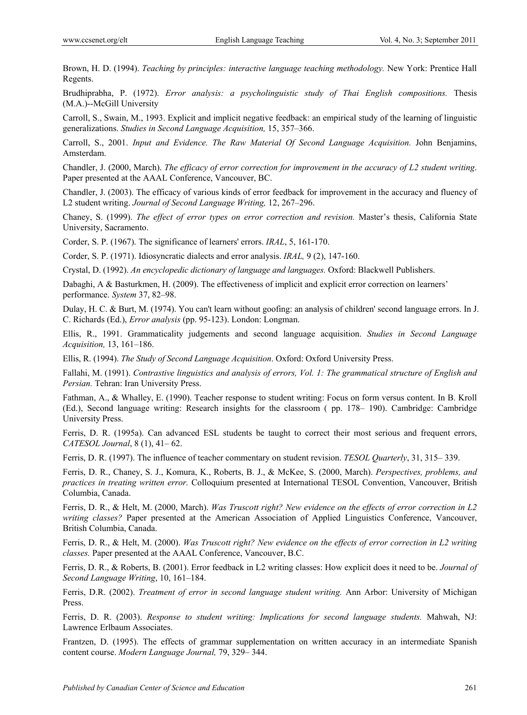Brown, H. D. (1994). *Teaching by principles: interactive language teaching methodology.* New York: Prentice Hall Regents.

Brudhiprabha, P. (1972). *Error analysis: a psycholinguistic study of Thai English compositions.* Thesis (M.A.)--McGill University

Carroll, S., Swain, M., 1993. Explicit and implicit negative feedback: an empirical study of the learning of linguistic generalizations. *Studies in Second Language Acquisition,* 15, 357–366.

Carroll, S., 2001. *Input and Evidence. The Raw Material Of Second Language Acquisition.* John Benjamins, Amsterdam.

Chandler, J. (2000, March). *The efficacy of error correction for improvement in the accuracy of L2 student writing*. Paper presented at the AAAL Conference, Vancouver, BC.

Chandler, J. (2003). The efficacy of various kinds of error feedback for improvement in the accuracy and fluency of L2 student writing. *Journal of Second Language Writing,* 12, 267–296.

Chaney, S. (1999). *The effect of error types on error correction and revision.* Master's thesis, California State University, Sacramento.

Corder, S. P. (1967). The significance of learners' errors. *IRAL*, 5, 161-170.

Corder, S. P. (1971). Idiosyncratic dialects and error analysis. *IRAL,* 9 (2), 147-160.

Crystal, D. (1992). *An encyclopedic dictionary of language and languages.* Oxford: Blackwell Publishers.

Dabaghi, A & Basturkmen, H. (2009). The effectiveness of implicit and explicit error correction on learners' performance. *System* 37, 82–98.

Dulay, H. C. & Burt, M. (1974). You can't learn without goofing: an analysis of children' second language errors. In J. C. Richards (Ed.), *Error analysis* (pp. 95-123). London: Longman.

Ellis, R., 1991. Grammaticality judgements and second language acquisition. *Studies in Second Language Acquisition,* 13, 161–186.

Ellis, R. (1994). *The Study of Second Language Acquisition*. Oxford: Oxford University Press.

Fallahi, M. (1991). *Contrastive linguistics and analysis of errors, Vol. 1: The grammatical structure of English and Persian.* Tehran: Iran University Press.

Fathman, A., & Whalley, E. (1990). Teacher response to student writing: Focus on form versus content. In B. Kroll (Ed.), Second language writing: Research insights for the classroom ( pp. 178– 190). Cambridge: Cambridge University Press.

Ferris, D. R. (1995a). Can advanced ESL students be taught to correct their most serious and frequent errors, *CATESOL Journal*, 8 (1), 41– 62.

Ferris, D. R. (1997). The influence of teacher commentary on student revision. *TESOL Quarterly*, 31, 315– 339.

Ferris, D. R., Chaney, S. J., Komura, K., Roberts, B. J., & McKee, S. (2000, March). *Perspectives, problems, and practices in treating written error.* Colloquium presented at International TESOL Convention, Vancouver, British Columbia, Canada.

Ferris, D. R., & Helt, M. (2000, March). *Was Truscott right? New evidence on the effects of error correction in L2 writing classes?* Paper presented at the American Association of Applied Linguistics Conference, Vancouver, British Columbia, Canada.

Ferris, D. R., & Helt, M. (2000). *Was Truscott right? New evidence on the effects of error correction in L2 writing classes.* Paper presented at the AAAL Conference, Vancouver, B.C.

Ferris, D. R., & Roberts, B. (2001). Error feedback in L2 writing classes: How explicit does it need to be. *Journal of Second Language Writing*, 10, 161–184.

Ferris, D.R. (2002). *Treatment of error in second language student writing.* Ann Arbor: University of Michigan Press.

Ferris, D. R. (2003). *Response to student writing: Implications for second language students.* Mahwah, NJ: Lawrence Erlbaum Associates.

Frantzen, D. (1995). The effects of grammar supplementation on written accuracy in an intermediate Spanish content course. *Modern Language Journal,* 79, 329– 344.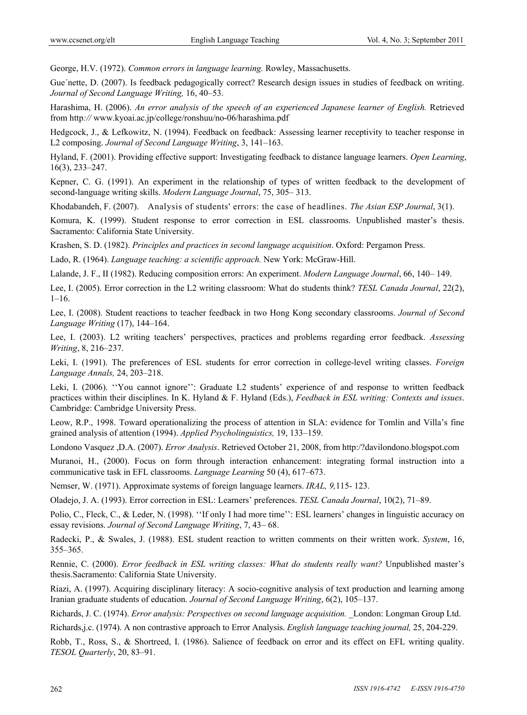George, H.V. (1972). *Common errors in language learning.* Rowley, Massachusetts.

Gue´nette, D. (2007). Is feedback pedagogically correct? Research design issues in studies of feedback on writing. *Journal of Second Language Writing,* 16, 40–53.

Harashima, H. (2006). *An error analysis of the speech of an experienced Japanese learner of English.* Retrieved from http*://* www.kyoai.ac.jp/college/ronshuu/no-06/harashima.pdf

Hedgcock, J., & Lefkowitz, N. (1994). Feedback on feedback: Assessing learner receptivity to teacher response in L2 composing. *Journal of Second Language Writing*, 3, 141–163.

Hyland, F. (2001). Providing effective support: Investigating feedback to distance language learners. *Open Learning*, 16(3), 233–247.

Kepner, C. G. (1991). An experiment in the relationship of types of written feedback to the development of second-language writing skills. *Modern Language Journal*, 75, 305– 313.

Khodabandeh, F. (2007). Analysis of students' errors: the case of headlines. *The Asian ESP Journal*, 3(1).

Komura, K. (1999). Student response to error correction in ESL classrooms. Unpublished master's thesis. Sacramento: California State University.

Krashen, S. D. (1982). *Principles and practices in second language acquisition*. Oxford: Pergamon Press.

Lado, R. (1964). *Language teaching: a scientific approach.* New York: McGraw-Hill.

Lalande, J. F., II (1982). Reducing composition errors: An experiment. *Modern Language Journal*, 66, 140– 149.

Lee, I. (2005). Error correction in the L2 writing classroom: What do students think? *TESL Canada Journal*, 22(2),  $1 - 16$ .

Lee, I. (2008). Student reactions to teacher feedback in two Hong Kong secondary classrooms. *Journal of Second Language Writing* (17), 144–164.

Lee, I. (2003). L2 writing teachers' perspectives, practices and problems regarding error feedback. *Assessing Writing*, 8, 216–237.

Leki, I. (1991). The preferences of ESL students for error correction in college-level writing classes. *Foreign Language Annals,* 24, 203–218.

Leki, I. (2006). "You cannot ignore": Graduate L2 students' experience of and response to written feedback practices within their disciplines. In K. Hyland & F. Hyland (Eds.), *Feedback in ESL writing: Contexts and issues*. Cambridge: Cambridge University Press.

Leow, R.P., 1998. Toward operationalizing the process of attention in SLA: evidence for Tomlin and Villa's fine grained analysis of attention (1994). *Applied Psycholinguistics,* 19, 133–159.

Londono Vasquez ,D.A. (2007). *Error Analysis*. Retrieved October 21, 2008, from http:/?davilondono.blogspot.com

Muranoi, H., (2000). Focus on form through interaction enhancement: integrating formal instruction into a communicative task in EFL classrooms. *Language Learning* 50 (4), 617–673.

Nemser, W. (1971). Approximate systems of foreign language learners. *IRAL, 9,*115- 123.

Oladejo, J. A. (1993). Error correction in ESL: Learners' preferences. *TESL Canada Journal*, 10(2), 71–89.

Polio, C., Fleck, C., & Leder, N. (1998). ''If only I had more time'': ESL learners' changes in linguistic accuracy on essay revisions. *Journal of Second Language Writing*, 7, 43– 68.

Radecki, P., & Swales, J. (1988). ESL student reaction to written comments on their written work. *System*, 16, 355–365.

Rennie, C. (2000). *Error feedback in ESL writing classes: What do students really want?* Unpublished master's thesis.Sacramento: California State University.

Riazi, A. (1997). Acquiring disciplinary literacy: A socio-cognitive analysis of text production and learning among Iranian graduate students of education. *Journal of Second Language Writing*, 6(2), 105–137.

Richards, J. C. (1974). *Error analysis: Perspectives on second language acquisition.* \_London: Longman Group Ltd.

Richards,j.c. (1974). A non contrastive approach to Error Analysis. *English language teaching journal,* 25, 204-229.

Robb, T., Ross, S., & Shortreed, I. (1986). Salience of feedback on error and its effect on EFL writing quality. *TESOL Quarterly*, 20, 83–91.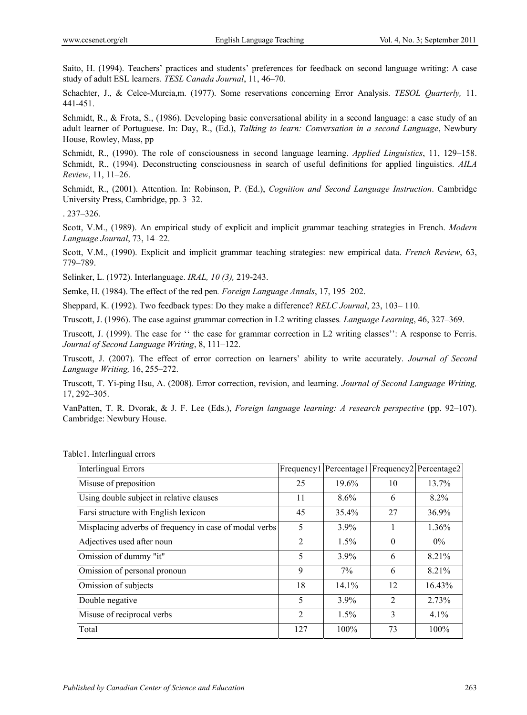Saito, H. (1994). Teachers' practices and students' preferences for feedback on second language writing: A case study of adult ESL learners. *TESL Canada Journal*, 11, 46–70.

Schachter, J., & Celce-Murcia,m. (1977). Some reservations concerning Error Analysis. *TESOL Quarterly,* 11. 441-451.

Schmidt, R., & Frota, S., (1986). Developing basic conversational ability in a second language: a case study of an adult learner of Portuguese. In: Day, R., (Ed.), *Talking to learn: Conversation in a second Language*, Newbury House, Rowley, Mass, pp

Schmidt, R., (1990). The role of consciousness in second language learning. *Applied Linguistics*, 11, 129–158. Schmidt, R., (1994). Deconstructing consciousness in search of useful definitions for applied linguistics. *AILA Review*, 11, 11–26.

Schmidt, R., (2001). Attention. In: Robinson, P. (Ed.), *Cognition and Second Language Instruction*. Cambridge University Press, Cambridge, pp. 3–32.

. 237–326.

Scott, V.M., (1989). An empirical study of explicit and implicit grammar teaching strategies in French. *Modern Language Journal*, 73, 14–22.

Scott, V.M., (1990). Explicit and implicit grammar teaching strategies: new empirical data. *French Review*, 63, 779–789.

Selinker, L. (1972). Interlanguage. *IRAL, 10 (3),* 219-243.

Semke, H. (1984). The effect of the red pen*. Foreign Language Annals*, 17, 195–202.

Sheppard, K. (1992). Two feedback types: Do they make a difference? *RELC Journal*, 23, 103– 110.

Truscott, J. (1996). The case against grammar correction in L2 writing classes*. Language Learning*, 46, 327–369.

Truscott, J. (1999). The case for '' the case for grammar correction in L2 writing classes'': A response to Ferris. *Journal of Second Language Writing*, 8, 111–122.

Truscott, J. (2007). The effect of error correction on learners' ability to write accurately. *Journal of Second Language Writing,* 16, 255–272.

Truscott, T. Yi-ping Hsu, A. (2008). Error correction, revision, and learning. *Journal of Second Language Writing,* 17, 292–305.

VanPatten, T. R. Dvorak, & J. F. Lee (Eds.), *Foreign language learning: A research perspective* (pp. 92–107). Cambridge: Newbury House.

| <b>Interlingual Errors</b>                             |     | Frequency1   Percentage1   Frequency2   Percentage2 |                |         |
|--------------------------------------------------------|-----|-----------------------------------------------------|----------------|---------|
| Misuse of preposition                                  | 25  | 19.6%                                               | 10             | 13.7%   |
| Using double subject in relative clauses               | 11  | $8.6\%$                                             | 6              | 8.2%    |
| Farsi structure with English lexicon                   | 45  | 35.4%                                               | 27             | 36.9%   |
| Misplacing adverbs of frequency in case of modal verbs | 5   | $3.9\%$                                             |                | 1.36%   |
| Adjectives used after noun                             | 2   | $1.5\%$                                             | $\Omega$       | $0\%$   |
| Omission of dummy "it"                                 | 5   | 3.9%                                                | 6              | 8.21%   |
| Omission of personal pronoun                           | 9   | $7\%$                                               | 6              | 8.21%   |
| Omission of subjects                                   | 18  | 14.1%                                               | 12             | 16.43%  |
| Double negative                                        | 5   | $3.9\%$                                             | $\overline{2}$ | 2.73%   |
| Misuse of reciprocal verbs                             | 2   | $1.5\%$                                             | 3              | $4.1\%$ |
| Total                                                  | 127 | 100%                                                | 73             | 100%    |

Table1. Interlingual errors